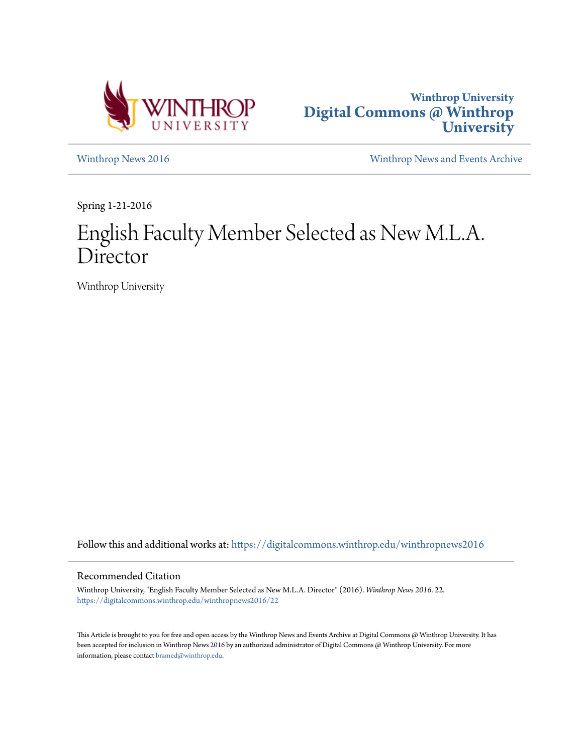



[Winthrop News 2016](https://digitalcommons.winthrop.edu/winthropnews2016?utm_source=digitalcommons.winthrop.edu%2Fwinthropnews2016%2F22&utm_medium=PDF&utm_campaign=PDFCoverPages) [Winthrop News and Events Archive](https://digitalcommons.winthrop.edu/winthropnewsarchives?utm_source=digitalcommons.winthrop.edu%2Fwinthropnews2016%2F22&utm_medium=PDF&utm_campaign=PDFCoverPages)

Spring 1-21-2016

# English Faculty Member Selected as New M.L.A. Director

Winthrop University

Follow this and additional works at: [https://digitalcommons.winthrop.edu/winthropnews2016](https://digitalcommons.winthrop.edu/winthropnews2016?utm_source=digitalcommons.winthrop.edu%2Fwinthropnews2016%2F22&utm_medium=PDF&utm_campaign=PDFCoverPages)

### Recommended Citation

Winthrop University, "English Faculty Member Selected as New M.L.A. Director" (2016). *Winthrop News 2016*. 22. [https://digitalcommons.winthrop.edu/winthropnews2016/22](https://digitalcommons.winthrop.edu/winthropnews2016/22?utm_source=digitalcommons.winthrop.edu%2Fwinthropnews2016%2F22&utm_medium=PDF&utm_campaign=PDFCoverPages)

This Article is brought to you for free and open access by the Winthrop News and Events Archive at Digital Commons @ Winthrop University. It has been accepted for inclusion in Winthrop News 2016 by an authorized administrator of Digital Commons @ Winthrop University. For more information, please contact [bramed@winthrop.edu](mailto:bramed@winthrop.edu).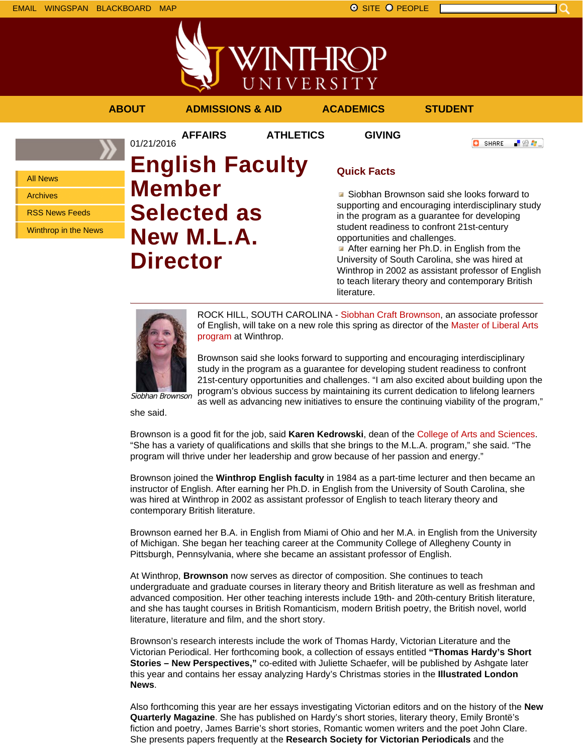

VINTHRC UNIVERSITY **ABOUT ADMISSIONS & AID ACADEMICS STUDENT AFFAIRS ATHLETICS GIVING**

All News Archives RSS News Feeds Winthrop in the News 01/21/2016 **English Faculty Member Selected as New M.L.A. Director**

# **Quick Facts**

Siobhan Brownson said she looks forward to supporting and encouraging interdisciplinary study in the program as a guarantee for developing student readiness to confront 21st-century opportunities and challenges.

**O** SHARE

上脸身。

After earning her Ph.D. in English from the University of South Carolina, she was hired at Winthrop in 2002 as assistant professor of English to teach literary theory and contemporary British literature.



ROCK HILL, SOUTH CAROLINA - Siobhan Craft Brownson, an associate professor of English, will take on a new role this spring as director of the Master of Liberal Arts program at Winthrop.

Brownson said she looks forward to supporting and encouraging interdisciplinary study in the program as a guarantee for developing student readiness to confront 21st-century opportunities and challenges. "I am also excited about building upon the program's obvious success by maintaining its current dedication to lifelong learners as well as advancing new initiatives to ensure the continuing viability of the program,"

she said.

Brownson is a good fit for the job, said **Karen Kedrowski**, dean of the College of Arts and Sciences. "She has a variety of qualifications and skills that she brings to the M.L.A. program," she said. "The program will thrive under her leadership and grow because of her passion and energy."

Brownson joined the **Winthrop English faculty** in 1984 as a part-time lecturer and then became an instructor of English. After earning her Ph.D. in English from the University of South Carolina, she was hired at Winthrop in 2002 as assistant professor of English to teach literary theory and contemporary British literature.

Brownson earned her B.A. in English from Miami of Ohio and her M.A. in English from the University of Michigan. She began her teaching career at the Community College of Allegheny County in Pittsburgh, Pennsylvania, where she became an assistant professor of English.

At Winthrop, **Brownson** now serves as director of composition. She continues to teach undergraduate and graduate courses in literary theory and British literature as well as freshman and advanced composition. Her other teaching interests include 19th- and 20th-century British literature, and she has taught courses in British Romanticism, modern British poetry, the British novel, world literature, literature and film, and the short story.

Brownson's research interests include the work of Thomas Hardy, Victorian Literature and the Victorian Periodical. Her forthcoming book, a collection of essays entitled **"Thomas Hardy's Short Stories – New Perspectives,"** co-edited with Juliette Schaefer, will be published by Ashgate later this year and contains her essay analyzing Hardy's Christmas stories in the **Illustrated London News**.

Also forthcoming this year are her essays investigating Victorian editors and on the history of the **New Quarterly Magazine**. She has published on Hardy's short stories, literary theory, Emily Brontë's fiction and poetry, James Barrie's short stories, Romantic women writers and the poet John Clare. She presents papers frequently at the **Research Society for Victorian Periodicals** and the